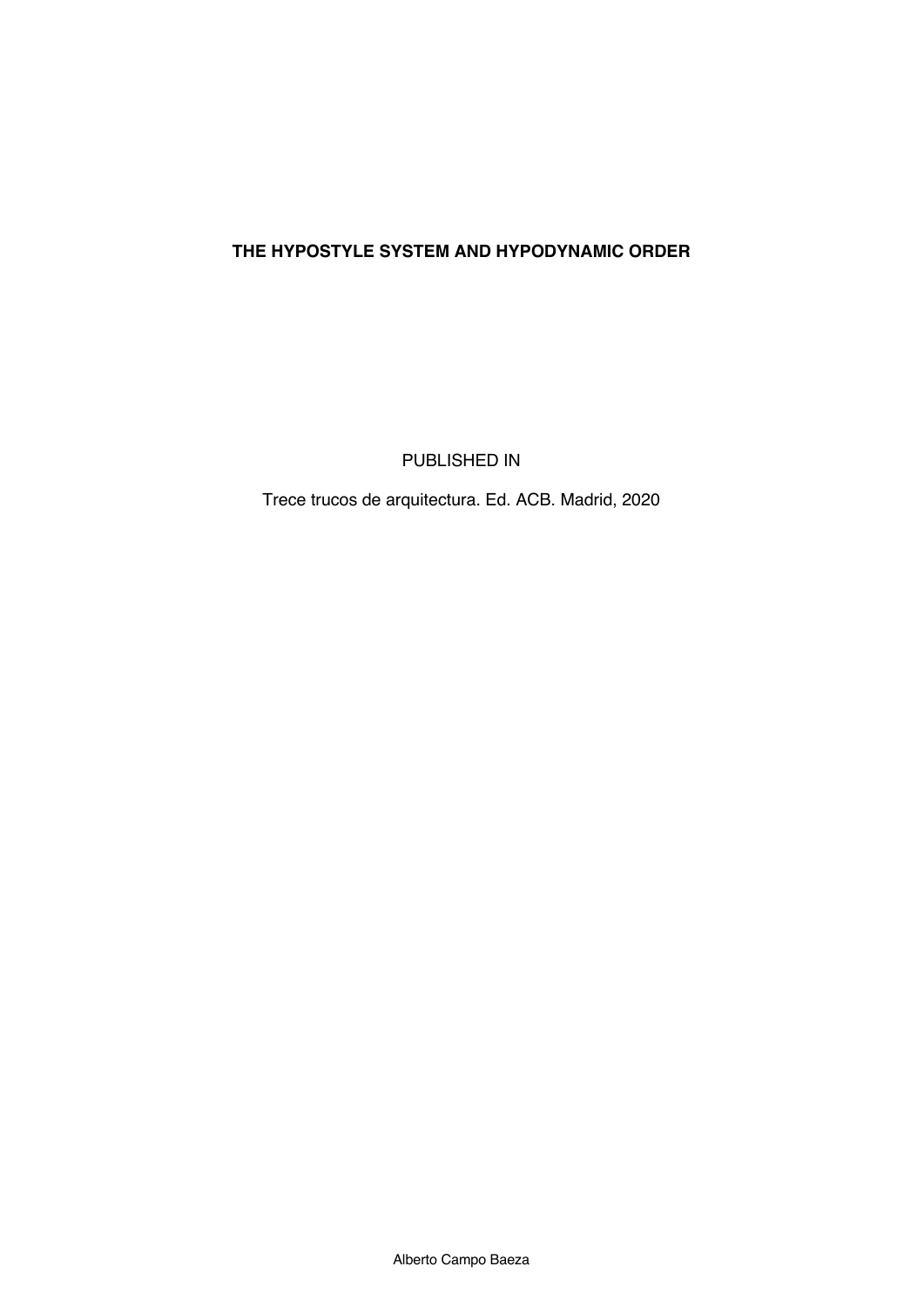## **THE HYPOSTYLE SYSTEM AND HYPODYNAMIC ORDER**

PUBLISHED IN

Trece trucos de arquitectura. Ed. ACB. Madrid, 2020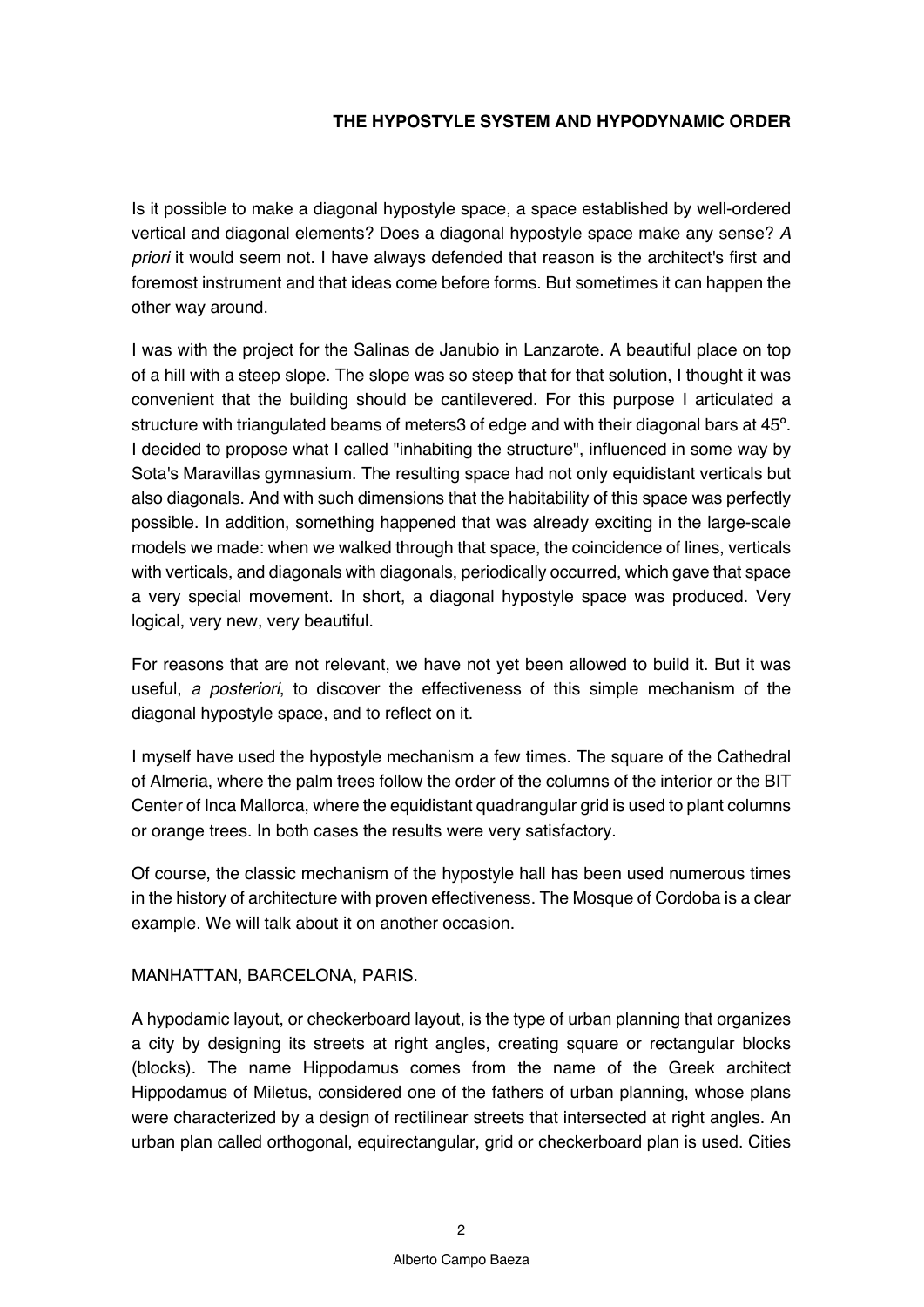## **THE HYPOSTYLE SYSTEM AND HYPODYNAMIC ORDER**

Is it possible to make a diagonal hypostyle space, a space established by well-ordered vertical and diagonal elements? Does a diagonal hypostyle space make any sense? *A priori* it would seem not. I have always defended that reason is the architect's first and foremost instrument and that ideas come before forms. But sometimes it can happen the other way around.

I was with the project for the Salinas de Janubio in Lanzarote. A beautiful place on top of a hill with a steep slope. The slope was so steep that for that solution, I thought it was convenient that the building should be cantilevered. For this purpose I articulated a structure with triangulated beams of meters3 of edge and with their diagonal bars at 45º. I decided to propose what I called "inhabiting the structure", influenced in some way by Sota's Maravillas gymnasium. The resulting space had not only equidistant verticals but also diagonals. And with such dimensions that the habitability of this space was perfectly possible. In addition, something happened that was already exciting in the large-scale models we made: when we walked through that space, the coincidence of lines, verticals with verticals, and diagonals with diagonals, periodically occurred, which gave that space a very special movement. In short, a diagonal hypostyle space was produced. Very logical, very new, very beautiful.

For reasons that are not relevant, we have not yet been allowed to build it. But it was useful, *a posteriori*, to discover the effectiveness of this simple mechanism of the diagonal hypostyle space, and to reflect on it.

I myself have used the hypostyle mechanism a few times. The square of the Cathedral of Almeria, where the palm trees follow the order of the columns of the interior or the BIT Center of Inca Mallorca, where the equidistant quadrangular grid is used to plant columns or orange trees. In both cases the results were very satisfactory.

Of course, the classic mechanism of the hypostyle hall has been used numerous times in the history of architecture with proven effectiveness. The Mosque of Cordoba is a clear example. We will talk about it on another occasion.

## MANHATTAN, BARCELONA, PARIS.

A hypodamic layout, or checkerboard layout, is the type of urban planning that organizes a city by designing its streets at right angles, creating square or rectangular blocks (blocks). The name Hippodamus comes from the name of the Greek architect Hippodamus of Miletus, considered one of the fathers of urban planning, whose plans were characterized by a design of rectilinear streets that intersected at right angles. An urban plan called orthogonal, equirectangular, grid or checkerboard plan is used. Cities